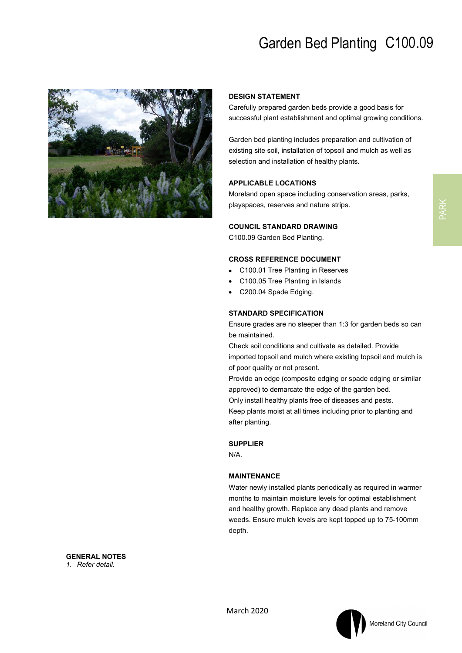# Garden Bed Planting C100.09



#### **DESIGN STATEMENT**

Carefully prepared garden beds provide a good basis for successful plant establishment and optimal growing conditions.

Garden bed planting includes preparation and cultivation of existing site soil, installation of topsoil and mulch as well as selection and installation of healthy plants.

### **APPLICABLE LOCATIONS**

Moreland open space including conservation areas, parks, playspaces, reserves and nature strips.

### **COUNCIL STANDARD DRAWING**

C100.09 Garden Bed Planting.

#### **CROSS REFERENCE DOCUMENT**

- C100.01 Tree Planting in Reserves
- C100.05 Tree Planting in Islands
- C200.04 Spade Edging.

#### **STANDARD SPECIFICATION**

Ensure grades are no steeper than 1:3 for garden beds so can be maintained.

Check soil conditions and cultivate as detailed. Provide imported topsoil and mulch where existing topsoil and mulch is of poor quality or not present.

Provide an edge (composite edging or spade edging or similar approved) to demarcate the edge of the garden bed.

Only install healthy plants free of diseases and pests.

Keep plants moist at all times including prior to planting and after planting.

#### **SUPPLIER**

N/A.

#### **MAINTENANCE**

Water newly installed plants periodically as required in warmer months to maintain moisture levels for optimal establishment and healthy growth. Replace any dead plants and remove weeds. Ensure mulch levels are kept topped up to 75-100mm depth.

**GENERAL NOTES** *1. Refer detail.*